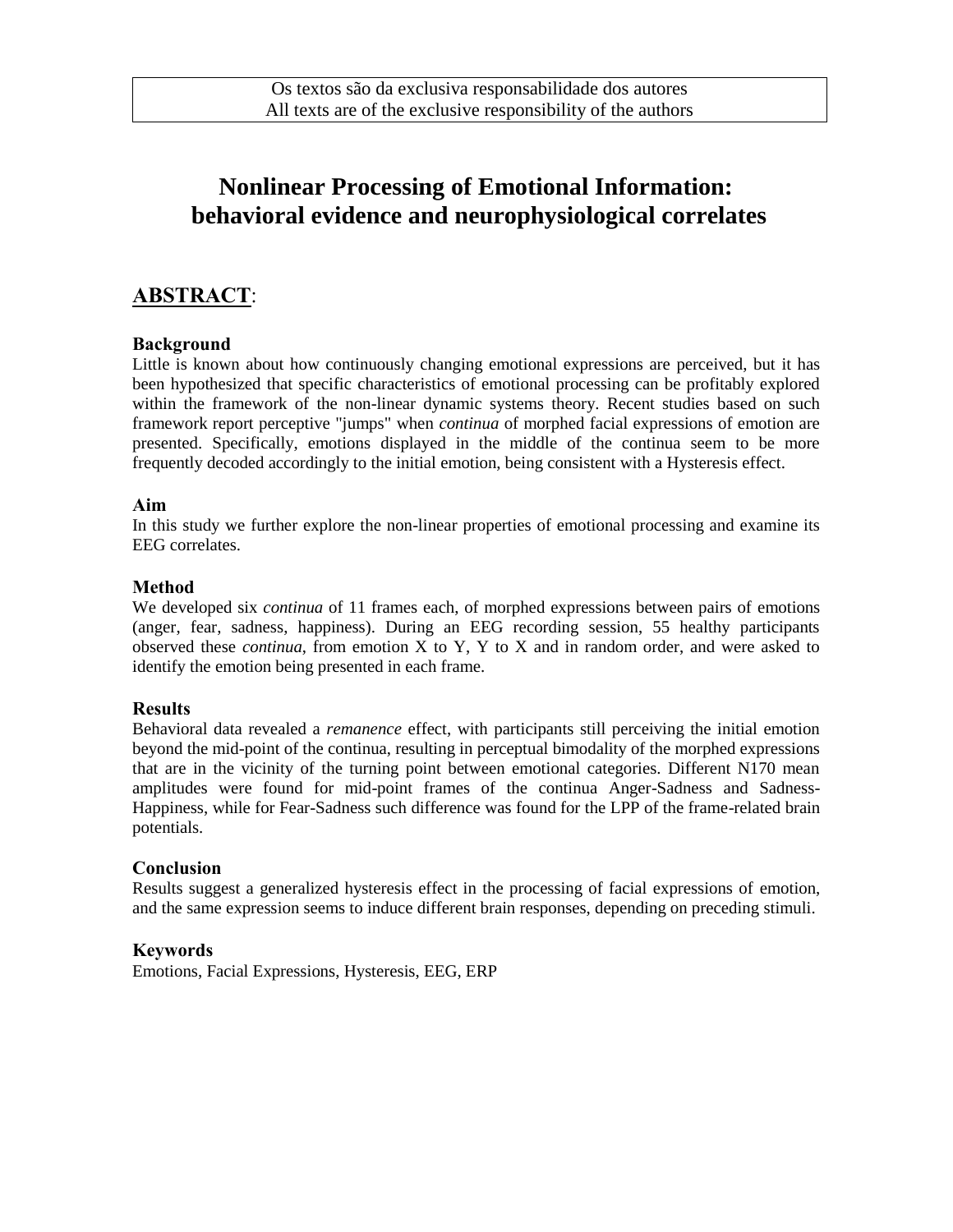# **Nonlinear Processing of Emotional Information: behavioral evidence and neurophysiological correlates**

### **ABSTRACT**:

#### **Background**

Little is known about how continuously changing emotional expressions are perceived, but it has been hypothesized that specific characteristics of emotional processing can be profitably explored within the framework of the non-linear dynamic systems theory. Recent studies based on such framework report perceptive "jumps" when *continua* of morphed facial expressions of emotion are presented. Specifically, emotions displayed in the middle of the continua seem to be more frequently decoded accordingly to the initial emotion, being consistent with a Hysteresis effect.

#### **Aim**

In this study we further explore the non-linear properties of emotional processing and examine its EEG correlates.

#### **Method**

We developed six *continua* of 11 frames each, of morphed expressions between pairs of emotions (anger, fear, sadness, happiness). During an EEG recording session, 55 healthy participants observed these *continua*, from emotion X to Y, Y to X and in random order, and were asked to identify the emotion being presented in each frame.

#### **Results**

Behavioral data revealed a *remanence* effect, with participants still perceiving the initial emotion beyond the mid-point of the continua, resulting in perceptual bimodality of the morphed expressions that are in the vicinity of the turning point between emotional categories. Different N170 mean amplitudes were found for mid-point frames of the continua Anger-Sadness and Sadness-Happiness, while for Fear-Sadness such difference was found for the LPP of the frame-related brain potentials.

#### **Conclusion**

Results suggest a generalized hysteresis effect in the processing of facial expressions of emotion, and the same expression seems to induce different brain responses, depending on preceding stimuli.

#### **Keywords**

Emotions, Facial Expressions, Hysteresis, EEG, ERP